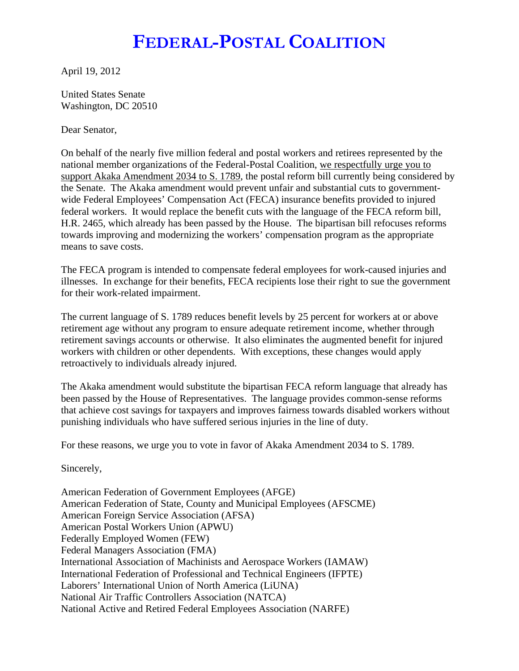## **FEDERAL-POSTAL COALITION**

April 19, 2012

United States Senate Washington, DC 20510

Dear Senator,

On behalf of the nearly five million federal and postal workers and retirees represented by the national member organizations of the Federal-Postal Coalition, we respectfully urge you to support Akaka Amendment 2034 to S. 1789, the postal reform bill currently being considered by the Senate. The Akaka amendment would prevent unfair and substantial cuts to governmentwide Federal Employees' Compensation Act (FECA) insurance benefits provided to injured federal workers. It would replace the benefit cuts with the language of the FECA reform bill, H.R. 2465, which already has been passed by the House. The bipartisan bill refocuses reforms towards improving and modernizing the workers' compensation program as the appropriate means to save costs.

The FECA program is intended to compensate federal employees for work-caused injuries and illnesses. In exchange for their benefits, FECA recipients lose their right to sue the government for their work-related impairment.

The current language of S. 1789 reduces benefit levels by 25 percent for workers at or above retirement age without any program to ensure adequate retirement income, whether through retirement savings accounts or otherwise. It also eliminates the augmented benefit for injured workers with children or other dependents. With exceptions, these changes would apply retroactively to individuals already injured.

The Akaka amendment would substitute the bipartisan FECA reform language that already has been passed by the House of Representatives. The language provides common-sense reforms that achieve cost savings for taxpayers and improves fairness towards disabled workers without punishing individuals who have suffered serious injuries in the line of duty.

For these reasons, we urge you to vote in favor of Akaka Amendment 2034 to S. 1789.

Sincerely,

American Federation of Government Employees (AFGE) American Federation of State, County and Municipal Employees (AFSCME) American Foreign Service Association (AFSA) American Postal Workers Union (APWU) Federally Employed Women (FEW) Federal Managers Association (FMA) International Association of Machinists and Aerospace Workers (IAMAW) International Federation of Professional and Technical Engineers (IFPTE) Laborers' International Union of North America (LiUNA) National Air Traffic Controllers Association (NATCA) National Active and Retired Federal Employees Association (NARFE)